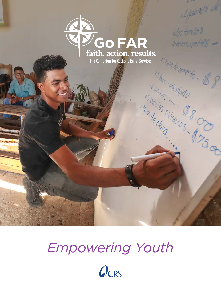

The Campaign for Catholic Relief Services

is galone's de

 $1/5$  tomillos

Autoroscantes -

*Empowering Youth*

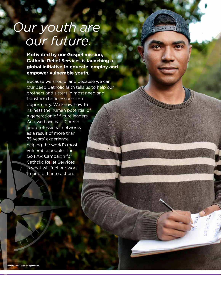# *Our youth are our future.*

**Motivated by our Gospel mission, Catholic Relief Services is launching a global initiative to educate, employ and empower vulnerable youth.** 

 $000000$ 

Because we should, and because we can. Our deep Catholic faith tells us to help our brothers and sisters in most need and transform hopelessness into opportunity. We know how to harness the human potential of a generation of future leaders. And we have vast Church and professional networks as a result of more than 75 years' experience helping the world's most vulnerable people. The Go FAR Campaign for Catholic Relief Services is what will fuel our work to put faith into action.

**Photo by Oscar**<br>Car Leiva/Silverlight for CRS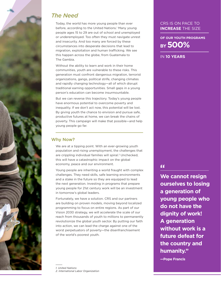

## *The Need*

Today, the world has more young people than ever before, according to the United Nations.<sup>1</sup> Many young people ages 15 to 29 are out of school and unemployed or underemployed. Too often they must navigate unrest and insecurity. And too many are forced by these circumstances into desperate decisions that lead to migration, exploitation and human trafficking. We see this happen across the globe, from Guatemala to The Gambia.

Without the ability to learn and work in their home communities, youth are vulnerable to these risks. This generation must confront dangerous migration, terrorist organizations, gangs, political strife, changing climates and rapidly changing technology—all of which disrupt traditional earning opportunities. Small gaps in a young person's education can become insurmountable.

But we can reverse this trajectory. Today's young people have enormous potential to overcome poverty and inequality. If we don't act now, this potential will be lost. By giving youth the chance to envision and pursue safe, productive futures at home, we can break the chains of poverty. This campaign will make that possible—and help young people go far.

## Why Now?

We are at a tipping point. With an ever-growing youth population and rising unemployment, the challenges that are crippling individual families will spiral.<sup>2</sup> Unchecked, this will have a catastrophic impact on the global economy, peace and our environment.

Young people are inheriting a world fraught with complex challenges. They need skills, safe learning environments and a stake in the future so they are equipped to lead the next generation. Investing in programs that prepare young people for 21st century work will be an investment in tomorrow's global leaders.

Fortunately, we have a solution. CRS and our partners are building on proven models, moving beyond localized programming to focus on entire regions. As part of our Vision 2030 strategy, we will accelerate the scale of our reach from thousands of youth to millions to permanently revolutionize the global youth sector. By putting our faith into action, we can lead the charge against one of the worst perpetuators of poverty—the disenfranchisement of the world's poorest youth.

*1. United Nations 2. International Labor Organization*

## CRS IS ON PACE TO **INCREASE** THE SIZE

**BY 500% OF OUR YOUTH PROGRAMS**

IN **10 YEARS**

**"**

**We cannot resign ourselves to losing a generation of young people who do not have the dignity of work! A generation without work is a future defeat for the country and humanity."**

**—Pope Francis**